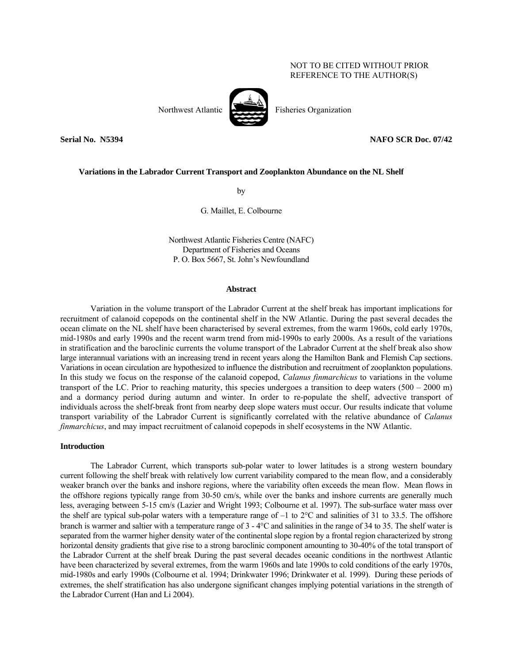# NOT TO BE CITED WITHOUT PRIOR REFERENCE TO THE AUTHOR(S)

Northwest Atlantic Fisheries Organization

## **Serial No. N5394 NAFO SCR Doc. 07/42**

# **Variations in the Labrador Current Transport and Zooplankton Abundance on the NL Shelf**

by

G. Maillet, E. Colbourne

Northwest Atlantic Fisheries Centre (NAFC) Department of Fisheries and Oceans P. O. Box 5667, St. John's Newfoundland

### **Abstract**

 Variation in the volume transport of the Labrador Current at the shelf break has important implications for recruitment of calanoid copepods on the continental shelf in the NW Atlantic. During the past several decades the ocean climate on the NL shelf have been characterised by several extremes, from the warm 1960s, cold early 1970s, mid-1980s and early 1990s and the recent warm trend from mid-1990s to early 2000s. As a result of the variations in stratification and the baroclinic currents the volume transport of the Labrador Current at the shelf break also show large interannual variations with an increasing trend in recent years along the Hamilton Bank and Flemish Cap sections. Variations in ocean circulation are hypothesized to influence the distribution and recruitment of zooplankton populations. In this study we focus on the response of the calanoid copepod, *Calanus finmarchicus* to variations in the volume transport of the LC. Prior to reaching maturity, this species undergoes a transition to deep waters (500 – 2000 m) and a dormancy period during autumn and winter. In order to re-populate the shelf, advective transport of individuals across the shelf-break front from nearby deep slope waters must occur. Our results indicate that volume transport variability of the Labrador Current is significantly correlated with the relative abundance of *Calanus finmarchicus*, and may impact recruitment of calanoid copepods in shelf ecosystems in the NW Atlantic.

# **Introduction**

The Labrador Current, which transports sub-polar water to lower latitudes is a strong western boundary current following the shelf break with relatively low current variability compared to the mean flow, and a considerably weaker branch over the banks and inshore regions, where the variability often exceeds the mean flow. Mean flows in the offshore regions typically range from 30-50 cm/s, while over the banks and inshore currents are generally much less, averaging between 5-15 cm/s (Lazier and Wright 1993; Colbourne et al. 1997). The sub-surface water mass over the shelf are typical sub-polar waters with a temperature range of  $-1$  to  $2^{\circ}$ C and salinities of 31 to 33.5. The offshore branch is warmer and saltier with a temperature range of 3 - 4°C and salinities in the range of 34 to 35. The shelf water is separated from the warmer higher density water of the continental slope region by a frontal region characterized by strong horizontal density gradients that give rise to a strong baroclinic component amounting to 30-40% of the total transport of the Labrador Current at the shelf break During the past several decades oceanic conditions in the northwest Atlantic have been characterized by several extremes, from the warm 1960s and late 1990s to cold conditions of the early 1970s, mid-1980s and early 1990s (Colbourne et al. 1994; Drinkwater 1996; Drinkwater et al. 1999). During these periods of extremes, the shelf stratification has also undergone significant changes implying potential variations in the strength of the Labrador Current (Han and Li 2004).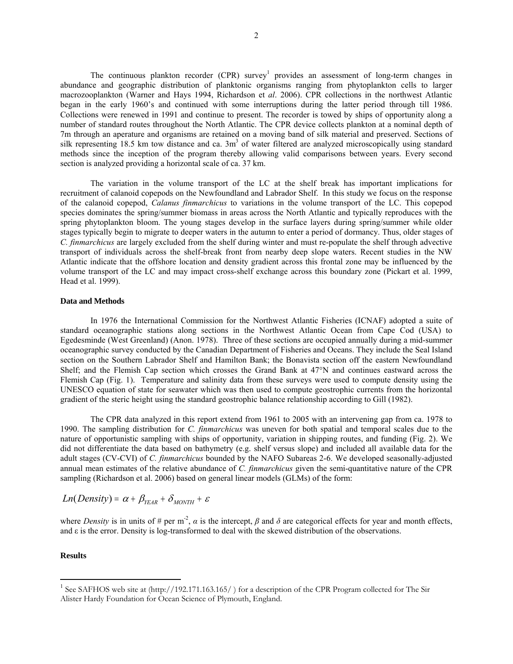The continuous plankton recorder  $(CPR)$  survey<sup>1</sup> provides an assessment of long-term changes in abundance and geographic distribution of planktonic organisms ranging from phytoplankton cells to larger macrozooplankton (Warner and Hays 1994, Richardson et *al*. 2006). CPR collections in the northwest Atlantic began in the early 1960's and continued with some interruptions during the latter period through till 1986. Collections were renewed in 1991 and continue to present. The recorder is towed by ships of opportunity along a number of standard routes throughout the North Atlantic. The CPR device collects plankton at a nominal depth of 7m through an aperature and organisms are retained on a moving band of silk material and preserved. Sections of silk representing 18.5 km tow distance and ca. 3m<sup>3</sup> of water filtered are analyzed microscopically using standard methods since the inception of the program thereby allowing valid comparisons between years. Every second section is analyzed providing a horizontal scale of ca. 37 km.

 The variation in the volume transport of the LC at the shelf break has important implications for recruitment of calanoid copepods on the Newfoundland and Labrador Shelf. In this study we focus on the response of the calanoid copepod, *Calanus finmarchicus* to variations in the volume transport of the LC. This copepod species dominates the spring/summer biomass in areas across the North Atlantic and typically reproduces with the spring phytoplankton bloom. The young stages develop in the surface layers during spring/summer while older stages typically begin to migrate to deeper waters in the autumn to enter a period of dormancy. Thus, older stages of *C. finmarchicus* are largely excluded from the shelf during winter and must re-populate the shelf through advective transport of individuals across the shelf-break front from nearby deep slope waters. Recent studies in the NW Atlantic indicate that the offshore location and density gradient across this frontal zone may be influenced by the volume transport of the LC and may impact cross-shelf exchange across this boundary zone (Pickart et al. 1999, Head et al. 1999).

### **Data and Methods**

 In 1976 the International Commission for the Northwest Atlantic Fisheries (ICNAF) adopted a suite of standard oceanographic stations along sections in the Northwest Atlantic Ocean from Cape Cod (USA) to Egedesminde (West Greenland) (Anon. 1978). Three of these sections are occupied annually during a mid-summer oceanographic survey conducted by the Canadian Department of Fisheries and Oceans. They include the Seal Island section on the Southern Labrador Shelf and Hamilton Bank; the Bonavista section off the eastern Newfoundland Shelf; and the Flemish Cap section which crosses the Grand Bank at 47°N and continues eastward across the Flemish Cap (Fig. 1). Temperature and salinity data from these surveys were used to compute density using the UNESCO equation of state for seawater which was then used to compute geostrophic currents from the horizontal gradient of the steric height using the standard geostrophic balance relationship according to Gill (1982).

 The CPR data analyzed in this report extend from 1961 to 2005 with an intervening gap from ca. 1978 to 1990. The sampling distribution for *C. finmarchicus* was uneven for both spatial and temporal scales due to the nature of opportunistic sampling with ships of opportunity, variation in shipping routes, and funding (Fig. 2). We did not differentiate the data based on bathymetry (e.g. shelf versus slope) and included all available data for the adult stages (CV-CVI) of *C. finmarchicus* bounded by the NAFO Subareas 2-6. We developed seasonally-adjusted annual mean estimates of the relative abundance of *C. finmarchicus* given the semi-quantitative nature of the CPR sampling (Richardson et al. 2006) based on general linear models (GLMs) of the form:

$$
Ln(Density) = \alpha + \beta_{YEAR} + \delta_{MONTH} + \varepsilon
$$

where *Density* is in units of # per m<sup>-2</sup>,  $\alpha$  is the intercept,  $\beta$  and  $\delta$  are categorical effects for year and month effects, and ε is the error. Density is log-transformed to deal with the skewed distribution of the observations.

# **Results**

 $\overline{a}$ 

<sup>&</sup>lt;sup>1</sup> See SAFHOS web site at (http://192.171.163.165/) for a description of the CPR Program collected for The Sir Alister Hardy Foundation for Ocean Science of Plymouth, England.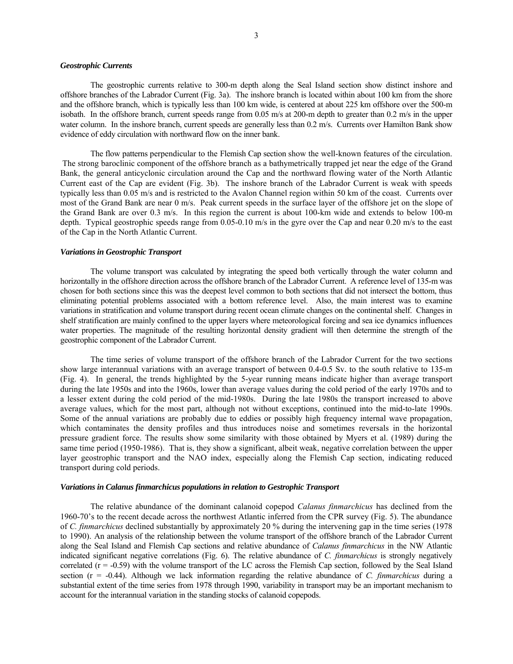## *Geostrophic Currents*

 The geostrophic currents relative to 300-m depth along the Seal Island section show distinct inshore and offshore branches of the Labrador Current (Fig. 3a). The inshore branch is located within about 100 km from the shore and the offshore branch, which is typically less than 100 km wide, is centered at about 225 km offshore over the 500-m isobath. In the offshore branch, current speeds range from 0.05 m/s at 200-m depth to greater than 0.2 m/s in the upper water column. In the inshore branch, current speeds are generally less than 0.2 m/s. Currents over Hamilton Bank show evidence of eddy circulation with northward flow on the inner bank.

 The flow patterns perpendicular to the Flemish Cap section show the well-known features of the circulation. The strong baroclinic component of the offshore branch as a bathymetrically trapped jet near the edge of the Grand Bank, the general anticyclonic circulation around the Cap and the northward flowing water of the North Atlantic Current east of the Cap are evident (Fig. 3b). The inshore branch of the Labrador Current is weak with speeds typically less than 0.05 m/s and is restricted to the Avalon Channel region within 50 km of the coast. Currents over most of the Grand Bank are near 0 m/s. Peak current speeds in the surface layer of the offshore jet on the slope of the Grand Bank are over 0.3 m/s. In this region the current is about 100-km wide and extends to below 100-m depth. Typical geostrophic speeds range from 0.05-0.10 m/s in the gyre over the Cap and near 0.20 m/s to the east of the Cap in the North Atlantic Current.

### *Variations in Geostrophic Transport*

 The volume transport was calculated by integrating the speed both vertically through the water column and horizontally in the offshore direction across the offshore branch of the Labrador Current. A reference level of 135-m was chosen for both sections since this was the deepest level common to both sections that did not intersect the bottom, thus eliminating potential problems associated with a bottom reference level. Also, the main interest was to examine variations in stratification and volume transport during recent ocean climate changes on the continental shelf. Changes in shelf stratification are mainly confined to the upper layers where meteorological forcing and sea ice dynamics influences water properties. The magnitude of the resulting horizontal density gradient will then determine the strength of the geostrophic component of the Labrador Current.

 The time series of volume transport of the offshore branch of the Labrador Current for the two sections show large interannual variations with an average transport of between 0.4-0.5 Sv. to the south relative to 135-m (Fig. 4). In general, the trends highlighted by the 5-year running means indicate higher than average transport during the late 1950s and into the 1960s, lower than average values during the cold period of the early 1970s and to a lesser extent during the cold period of the mid-1980s. During the late 1980s the transport increased to above average values, which for the most part, although not without exceptions, continued into the mid-to-late 1990s. Some of the annual variations are probably due to eddies or possibly high frequency internal wave propagation, which contaminates the density profiles and thus introduces noise and sometimes reversals in the horizontal pressure gradient force. The results show some similarity with those obtained by Myers et al. (1989) during the same time period (1950-1986). That is, they show a significant, albeit weak, negative correlation between the upper layer geostrophic transport and the NAO index, especially along the Flemish Cap section, indicating reduced transport during cold periods.

### *Variations in Calanus finmarchicus populations in relation to Gestrophic Transport*

 The relative abundance of the dominant calanoid copepod *Calanus finmarchicus* has declined from the 1960-70's to the recent decade across the northwest Atlantic inferred from the CPR survey (Fig. 5). The abundance of *C. finmarchicus* declined substantially by approximately 20 % during the intervening gap in the time series (1978 to 1990). An analysis of the relationship between the volume transport of the offshore branch of the Labrador Current along the Seal Island and Flemish Cap sections and relative abundance of *Calanus finmarchicus* in the NW Atlantic indicated significant negative correlations (Fig. 6). The relative abundance of *C. finmarchicus* is strongly negatively correlated  $(r = -0.59)$  with the volume transport of the LC across the Flemish Cap section, followed by the Seal Island section (r = -0.44). Although we lack information regarding the relative abundance of *C. finmarchicus* during a substantial extent of the time series from 1978 through 1990, variability in transport may be an important mechanism to account for the interannual variation in the standing stocks of calanoid copepods.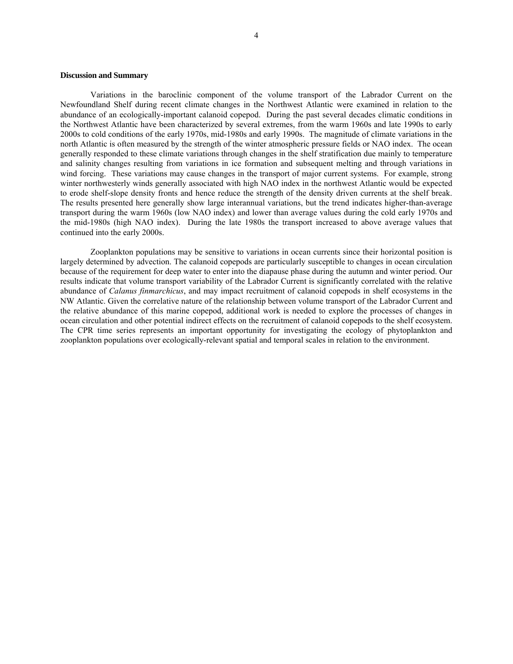## **Discussion and Summary**

 Variations in the baroclinic component of the volume transport of the Labrador Current on the Newfoundland Shelf during recent climate changes in the Northwest Atlantic were examined in relation to the abundance of an ecologically-important calanoid copepod. During the past several decades climatic conditions in the Northwest Atlantic have been characterized by several extremes, from the warm 1960s and late 1990s to early 2000s to cold conditions of the early 1970s, mid-1980s and early 1990s. The magnitude of climate variations in the north Atlantic is often measured by the strength of the winter atmospheric pressure fields or NAO index. The ocean generally responded to these climate variations through changes in the shelf stratification due mainly to temperature and salinity changes resulting from variations in ice formation and subsequent melting and through variations in wind forcing. These variations may cause changes in the transport of major current systems. For example, strong winter northwesterly winds generally associated with high NAO index in the northwest Atlantic would be expected to erode shelf-slope density fronts and hence reduce the strength of the density driven currents at the shelf break. The results presented here generally show large interannual variations, but the trend indicates higher-than-average transport during the warm 1960s (low NAO index) and lower than average values during the cold early 1970s and the mid-1980s (high NAO index). During the late 1980s the transport increased to above average values that continued into the early 2000s.

 Zooplankton populations may be sensitive to variations in ocean currents since their horizontal position is largely determined by advection. The calanoid copepods are particularly susceptible to changes in ocean circulation because of the requirement for deep water to enter into the diapause phase during the autumn and winter period. Our results indicate that volume transport variability of the Labrador Current is significantly correlated with the relative abundance of *Calanus finmarchicus*, and may impact recruitment of calanoid copepods in shelf ecosystems in the NW Atlantic. Given the correlative nature of the relationship between volume transport of the Labrador Current and the relative abundance of this marine copepod, additional work is needed to explore the processes of changes in ocean circulation and other potential indirect effects on the recruitment of calanoid copepods to the shelf ecosystem. The CPR time series represents an important opportunity for investigating the ecology of phytoplankton and zooplankton populations over ecologically-relevant spatial and temporal scales in relation to the environment.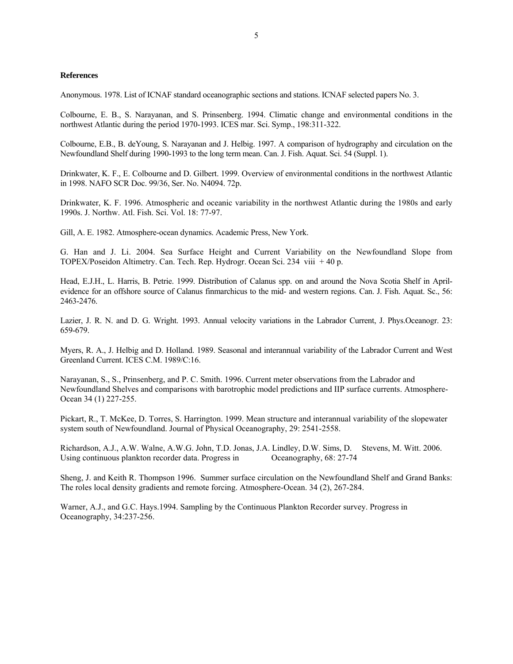## **References**

Anonymous. 1978. List of ICNAF standard oceanographic sections and stations. ICNAF selected papers No. 3.

Colbourne, E. B., S. Narayanan, and S. Prinsenberg. 1994. Climatic change and environmental conditions in the northwest Atlantic during the period 1970-1993. ICES mar. Sci. Symp., 198:311-322.

Colbourne, E.B., B. deYoung, S. Narayanan and J. Helbig. 1997. A comparison of hydrography and circulation on the Newfoundland Shelf during 1990-1993 to the long term mean. Can. J. Fish. Aquat. Sci. 54 (Suppl. 1).

Drinkwater, K. F., E. Colbourne and D. Gilbert. 1999. Overview of environmental conditions in the northwest Atlantic in 1998. NAFO SCR Doc. 99/36, Ser. No. N4094. 72p.

Drinkwater, K. F. 1996. Atmospheric and oceanic variability in the northwest Atlantic during the 1980s and early 1990s. J. Northw. Atl. Fish. Sci. Vol. 18: 77-97.

Gill, A. E. 1982. Atmosphere-ocean dynamics. Academic Press, New York.

G. Han and J. Li. 2004. Sea Surface Height and Current Variability on the Newfoundland Slope from TOPEX/Poseidon Altimetry. Can. Tech. Rep. Hydrogr. Ocean Sci. 234 viii + 40 p.

Head, E.J.H., L. Harris, B. Petrie. 1999. Distribution of Calanus spp. on and around the Nova Scotia Shelf in Aprilevidence for an offshore source of Calanus finmarchicus to the mid- and western regions. Can. J. Fish. Aquat. Sc., 56: 2463-2476.

Lazier, J. R. N. and D. G. Wright. 1993. Annual velocity variations in the Labrador Current, J. Phys.Oceanogr. 23: 659-679.

Myers, R. A., J. Helbig and D. Holland. 1989. Seasonal and interannual variability of the Labrador Current and West Greenland Current. ICES C.M. 1989/C:16.

Narayanan, S., S., Prinsenberg, and P. C. Smith. 1996. Current meter observations from the Labrador and Newfoundland Shelves and comparisons with barotrophic model predictions and IIP surface currents. Atmosphere-Ocean 34 (1) 227-255.

Pickart, R., T. McKee, D. Torres, S. Harrington. 1999. Mean structure and interannual variability of the slopewater system south of Newfoundland. Journal of Physical Oceanography, 29: 2541-2558.

Richardson, A.J., A.W. Walne, A.W.G. John, T.D. Jonas, J.A. Lindley, D.W. Sims, D. Stevens, M. Witt. 2006. Using continuous plankton recorder data. Progress in Oceanography, 68: 27-74

Sheng, J. and Keith R. Thompson 1996. Summer surface circulation on the Newfoundland Shelf and Grand Banks: The roles local density gradients and remote forcing. Atmosphere-Ocean. 34 (2), 267-284.

Warner, A.J., and G.C. Hays.1994. Sampling by the Continuous Plankton Recorder survey. Progress in Oceanography, 34:237-256.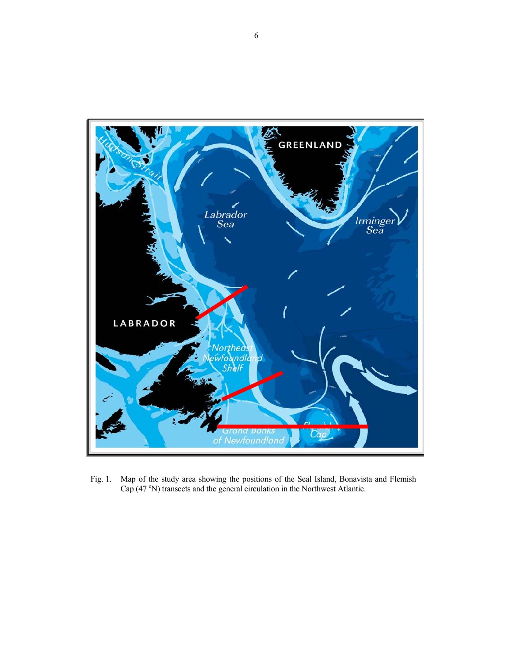

Fig. 1. Map of the study area showing the positions of the Seal Island, Bonavista and Flemish Cap (47 °N) transects and the general circulation in the Northwest Atlantic.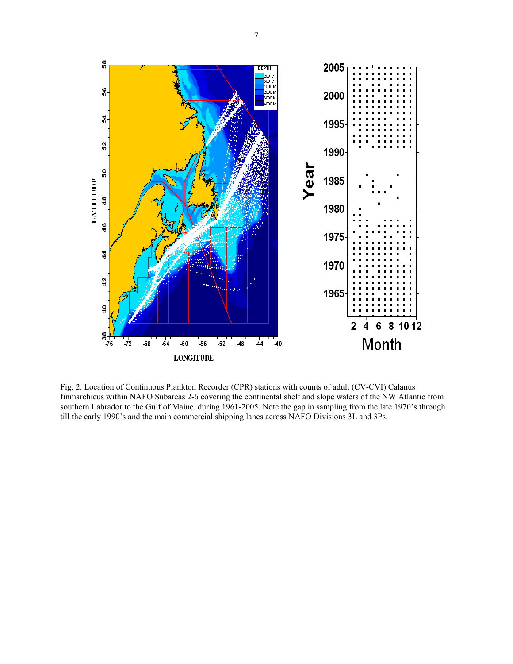

Fig. 2. Location of Continuous Plankton Recorder (CPR) stations with counts of adult (CV-CVI) Calanus finmarchicus within NAFO Subareas 2-6 covering the continental shelf and slope waters of the NW Atlantic from southern Labrador to the Gulf of Maine. during 1961-2005. Note the gap in sampling from the late 1970's through till the early 1990's and the main commercial shipping lanes across NAFO Divisions 3L and 3Ps.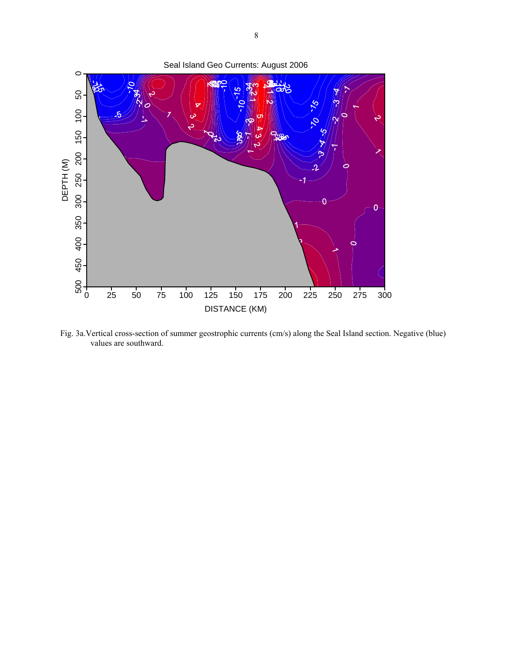

Fig. 3a.Vertical cross-section of summer geostrophic currents (cm/s) along the Seal Island section. Negative (blue) values are southward.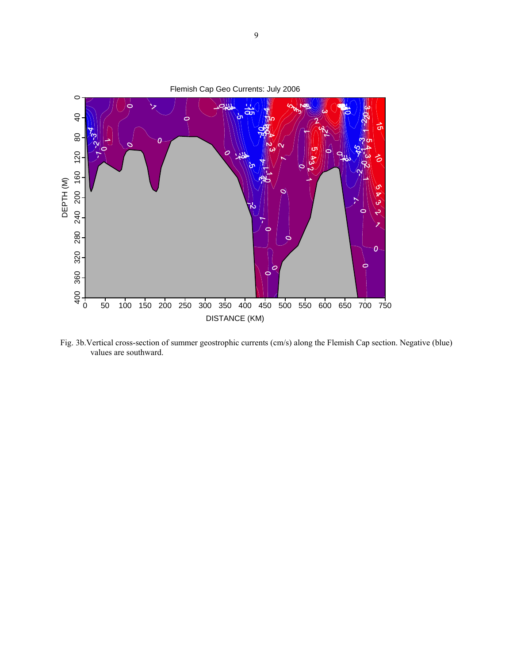

Fig. 3b.Vertical cross-section of summer geostrophic currents (cm/s) along the Flemish Cap section. Negative (blue) values are southward.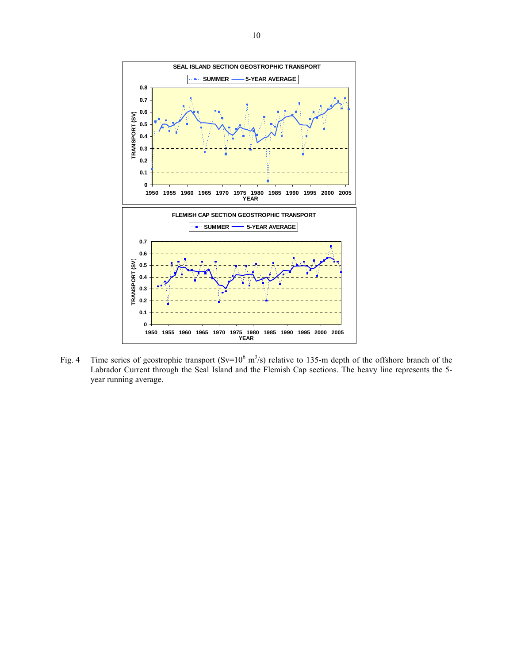

Fig. 4 Time series of geostrophic transport (Sv=10<sup>6</sup> m<sup>3</sup>/s) relative to 135-m depth of the offshore branch of the Labrador Current through the Seal Island and the Flemish Cap sections. The heavy line represents the 5 year running average.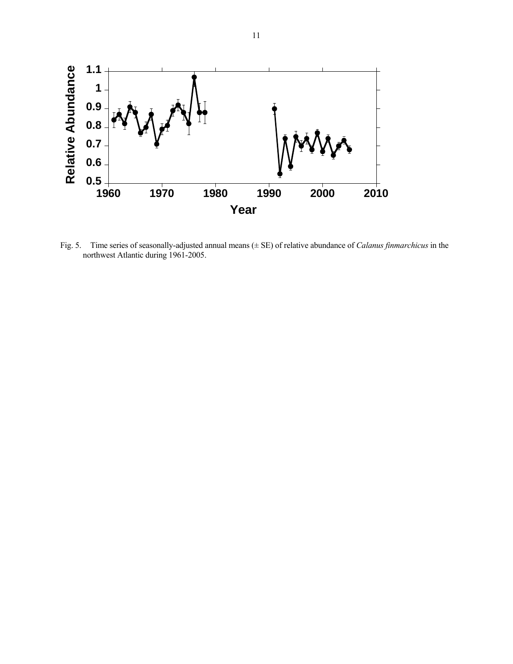

Fig. 5. Time series of seasonally-adjusted annual means (± SE) of relative abundance of *Calanus finmarchicus* in the northwest Atlantic during 1961-2005.